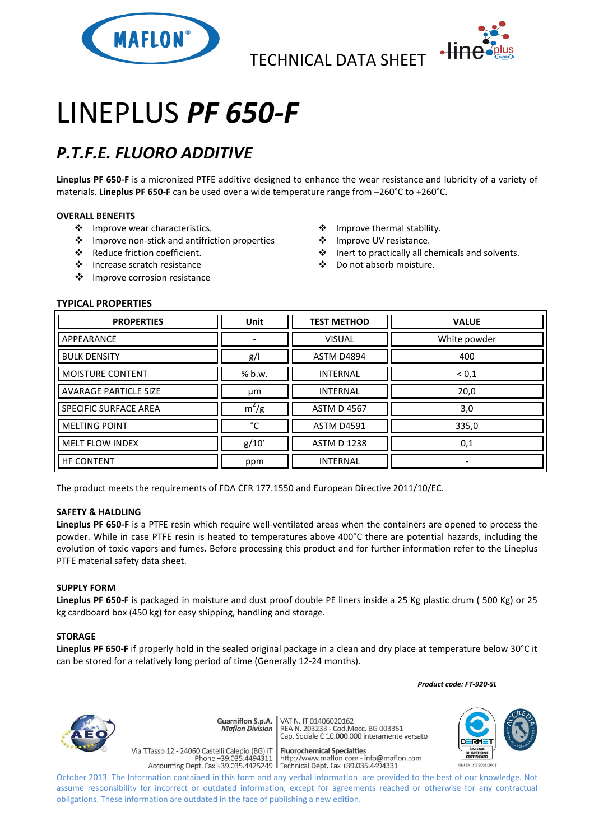

TECHNICAL DATA SHEET



# LINEPLUS *PF 650-F*

## *P.T.F.E. FLUORO ADDITIVE*

**Lineplus PF 650-F** is a micronized PTFE additive designed to enhance the wear resistance and lubricity of a variety of materials. **Lineplus PF 650-F** can be used over a wide temperature range from –260°C to +260°C.

#### **OVERALL BENEFITS**

- ❖ Improve wear characteristics.
- Improve non-stick and antifriction properties
- Reduce friction coefficient.
- Increase scratch resistance
- ❖ Improve corrosion resistance
- ❖ Improve thermal stability.
- ❖ Improve UV resistance.
- Inert to practically all chemicals and solvents.
- Do not absorb moisture.

### **TYPICAL PROPERTIES**

| <b>PROPERTIES</b>            | <b>Unit</b> | <b>TEST METHOD</b> | <b>VALUE</b>             |
|------------------------------|-------------|--------------------|--------------------------|
| APPEARANCE                   |             | <b>VISUAL</b>      | White powder             |
| <b>BULK DENSITY</b>          | g/          | <b>ASTM D4894</b>  | 400                      |
| MOISTURE CONTENT             | % b.w.      | <b>INTERNAL</b>    | ${}^{<}0,1$              |
| <b>AVARAGE PARTICLE SIZE</b> | μm          | <b>INTERNAL</b>    | 20,0                     |
| SPECIFIC SURFACE AREA        | $m^2/g$     | <b>ASTM D 4567</b> | 3,0                      |
| <b>MELTING POINT</b>         | °C          | <b>ASTM D4591</b>  | 335,0                    |
| <b>MELT FLOW INDEX</b>       | g/10'       | <b>ASTM D 1238</b> | 0,1                      |
| <b>HF CONTENT</b>            | ppm         | <b>INTERNAL</b>    | $\overline{\phantom{0}}$ |

The product meets the requirements of FDA CFR 177.1550 and European Directive 2011/10/EC.

#### **SAFETY & HALDLING**

**Lineplus PF 650-F** is a PTFE resin which require well-ventilated areas when the containers are opened to process the powder. While in case PTFE resin is heated to temperatures above 400°C there are potential hazards, including the evolution of toxic vapors and fumes. Before processing this product and for further information refer to the Lineplus PTFE material safety data sheet.

#### **SUPPLY FORM**

**Lineplus PF 650-F** is packaged in moisture and dust proof double PE liners inside a 25 Kg plastic drum ( 500 Kg) or 25 kg cardboard box (450 kg) for easy shipping, handling and storage.

#### **STORAGE**

**Lineplus PF 650-F** if properly hold in the sealed original package in a clean and dry place at temperature below 30°C it can be stored for a relatively long period of time (Generally 12-24 months).

 *Product code: FT-920-SL*



Guarniflon S.p.A. **Maflon Division** 

Via T.Tasso 12 - 24060 Castelli Calepio (BG) IT

VAT N. IT 01406020162 REA N. 11 01400020102<br>REA N. 203233 - Cod.Mecc. BG 003351<br>Cap. Sociale E 10.000.000 interamente versato

**Fluorochemical Specialties** rideso 12 - 24060 Castelli Calepio (BG) if<br>Phone +39.035.4494311 http://www.maflon.com - info@maflon.com<br>Accounting Dept. Fax +39.035.4425249 Technical Dept. Fax +39.035.4494331



October 2013. The Information contained in this form and any verbal information are provided to the best of our knowledge. Not assume responsibility for incorrect or outdated information, except for agreements reached or otherwise for any contractual obligations. These information are outdated in the face of publishing a new edition.